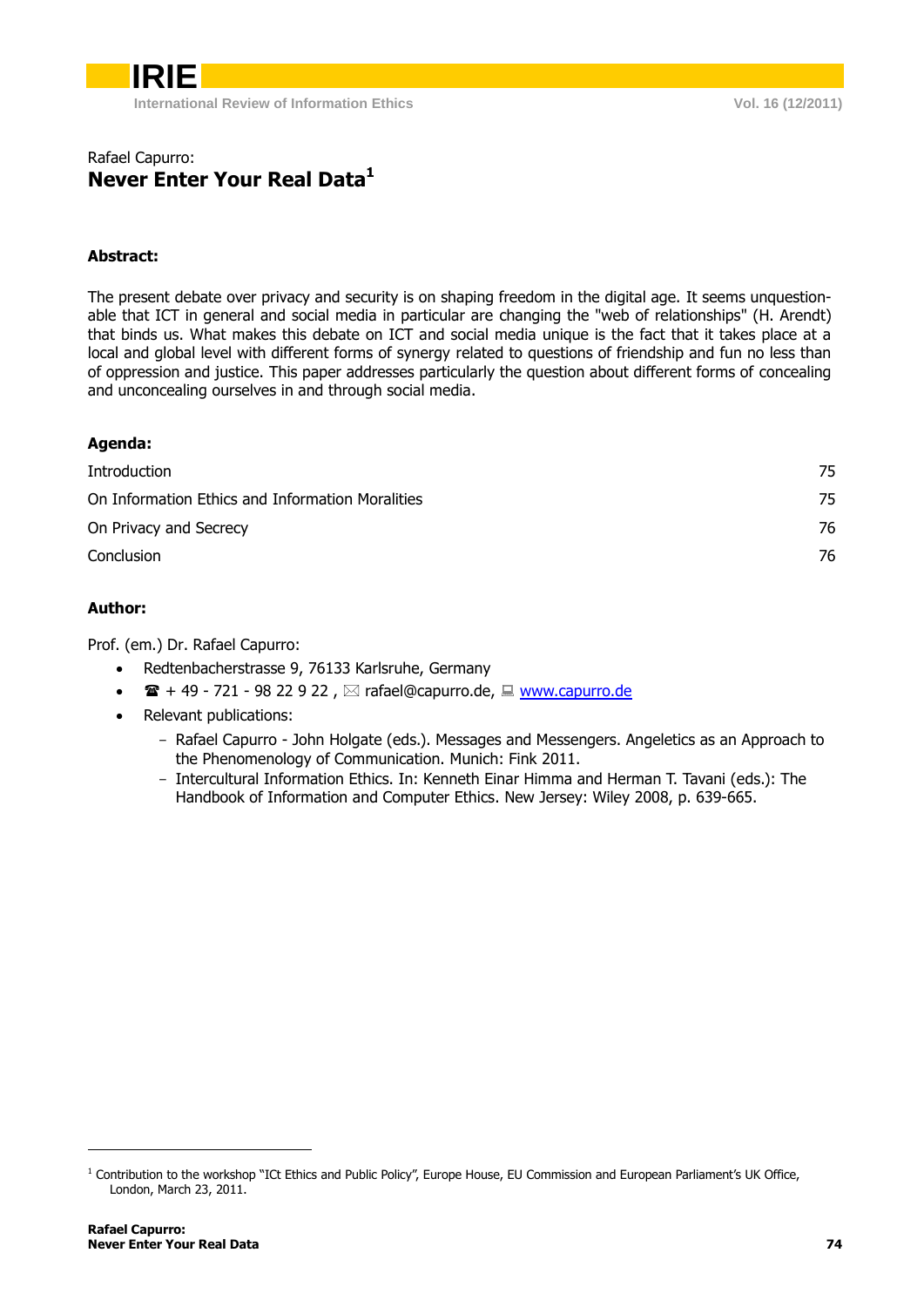

## Rafael Capurro: **Never Enter Your Real Data<sup>1</sup>**

### **Abstract:**

The present debate over privacy and security is on shaping freedom in the digital age. It seems unquestionable that ICT in general and social media in particular are changing the "web of relationships" (H. Arendt) that binds us. What makes this debate on ICT and social media unique is the fact that it takes place at a local and global level with different forms of synergy related to questions of friendship and fun no less than of oppression and justice. This paper addresses particularly the question about different forms of concealing and unconcealing ourselves in and through social media.

## **Agenda:**

| Introduction                                     | 75 |
|--------------------------------------------------|----|
| On Information Ethics and Information Moralities | 75 |
| On Privacy and Secrecy                           | 76 |
| Conclusion                                       | 76 |
|                                                  |    |

## **Author:**

Prof. (em.) Dr. Rafael Capurro:

- Redtenbacherstrasse 9, 76133 Karlsruhe, Germany
- $\bullet$   $\mathbf{\widehat{m}}$  + 49 721 98 22 9 22,  $\boxtimes$  rafael@capurro.de,  $\boxplus$  [www.capurro.de](http://www.capurro.de/)
- <span id="page-0-0"></span>• Relevant publications:
	- Rafael Capurro John Holgate (eds.). Messages and Messengers. Angeletics as an Approach to the Phenomenology of Communication. Munich: Fink 2011.
	- Intercultural Information Ethics. In: Kenneth Einar Himma and Herman T. Tavani (eds.): The Handbook of Information and Computer Ethics. New Jersey: Wiley 2008, p. 639-665.

-

 $1$  Contribution to the workshop "ICt Ethics and Public Policy", Europe House, EU Commission and European Parliament's UK Office, London, March 23, 2011.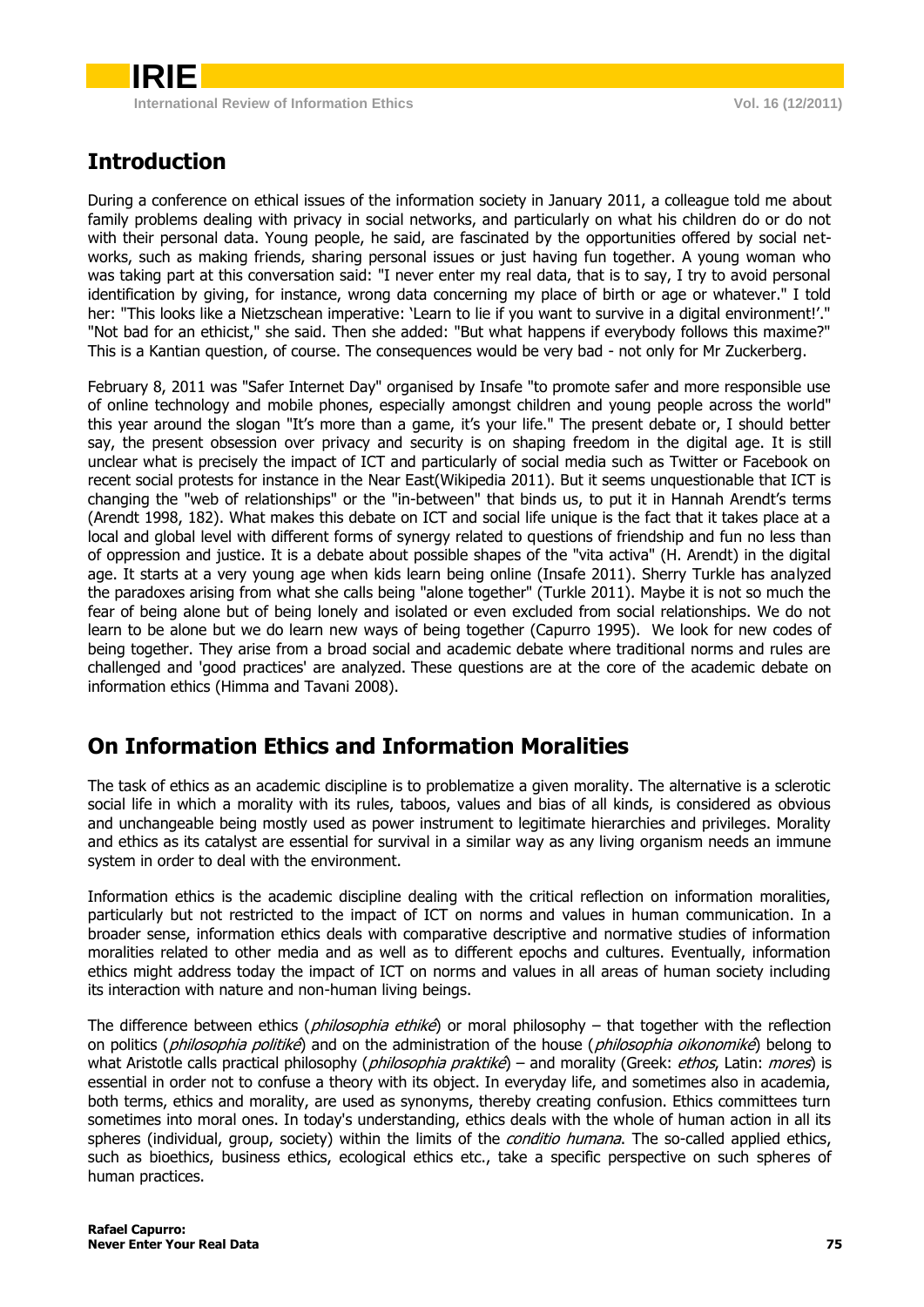

# **Introduction**

During a conference on ethical issues of the information society in January 2011, a colleague told me about family problems dealing with privacy in social networks, and particularly on what his children do or do not with their personal data. Young people, he said, are fascinated by the opportunities offered by social networks, such as making friends, sharing personal issues or just having fun together. A young woman who was taking part at this conversation said: "I never enter my real data, that is to say, I try to avoid personal identification by giving, for instance, wrong data concerning my place of birth or age or whatever." I told her: "This looks like a Nietzschean imperative: 'Learn to lie if you want to survive in a digital environment!'." "Not bad for an ethicist," she said. Then she added: "But what happens if everybody follows this maxime?" This is a Kantian question, of course. The consequences would be very bad - not only for Mr Zuckerberg.

February 8, 2011 was "Safer Internet Day" organised by Insafe "to promote safer and more responsible use of online technology and mobile phones, especially amongst children and young people across the world" this year around the slogan "It's more than a game, it's your life." The present debate or, I should better say, the present obsession over privacy and security is on shaping freedom in the digital age. It is still unclear what is precisely the impact of ICT and particularly of social media such as Twitter or Facebook on recent social protests for instance in the Near East(Wikipedia 2011). But it seems unquestionable that ICT is changing the "web of relationships" or the "in-between" that binds us, to put it in Hannah Arendt's terms (Arendt 1998, 182). What makes this debate on ICT and social life unique is the fact that it takes place at a local and global level with different forms of synergy related to questions of friendship and fun no less than of oppression and justice. It is a debate about possible shapes of the "vita activa" (H. Arendt) in the digital age. It starts at a very young age when kids learn being online (Insafe 2011). Sherry Turkle has analyzed the paradoxes arising from what she calls being "alone together" (Turkle 2011). Maybe it is not so much the fear of being alone but of being lonely and isolated or even excluded from social relationships. We do not learn to be alone but we do learn new ways of being together (Capurro 1995). We look for new codes of being together. They arise from a broad social and academic debate where traditional norms and rules are challenged and 'good practices' are analyzed. These questions are at the core of the academic debate on information ethics (Himma and Tavani 2008).

# <span id="page-1-0"></span>**On Information Ethics and Information Moralities**

The task of ethics as an academic discipline is to problematize a given morality. The alternative is a sclerotic social life in which a morality with its rules, taboos, values and bias of all kinds, is considered as obvious and unchangeable being mostly used as power instrument to legitimate hierarchies and privileges. Morality and ethics as its catalyst are essential for survival in a similar way as any living organism needs an immune system in order to deal with the environment.

Information ethics is the academic discipline dealing with the critical reflection on information moralities, particularly but not restricted to the impact of ICT on norms and values in human communication. In a broader sense, information ethics deals with comparative descriptive and normative studies of information moralities related to other media and as well as to different epochs and cultures. Eventually, information ethics might address today the impact of ICT on norms and values in all areas of human society including its interaction with nature and non-human living beings.

The difference between ethics (*philosophia ethiké*) or moral philosophy – that together with the reflection on politics (*philosophia politiké*) and on the administration of the house (*philosophia oikonomiké*) belong to what Aristotle calls practical philosophy (philosophia praktiké) – and morality (Greek: ethos, Latin: mores) is essential in order not to confuse a theory with its object. In everyday life, and sometimes also in academia, both terms, ethics and morality, are used as synonyms, thereby creating confusion. Ethics committees turn sometimes into moral ones. In today's understanding, ethics deals with the whole of human action in all its spheres (individual, group, society) within the limits of the *conditio humana*. The so-called applied ethics, such as bioethics, business ethics, ecological ethics etc., take a specific perspective on such spheres of human practices.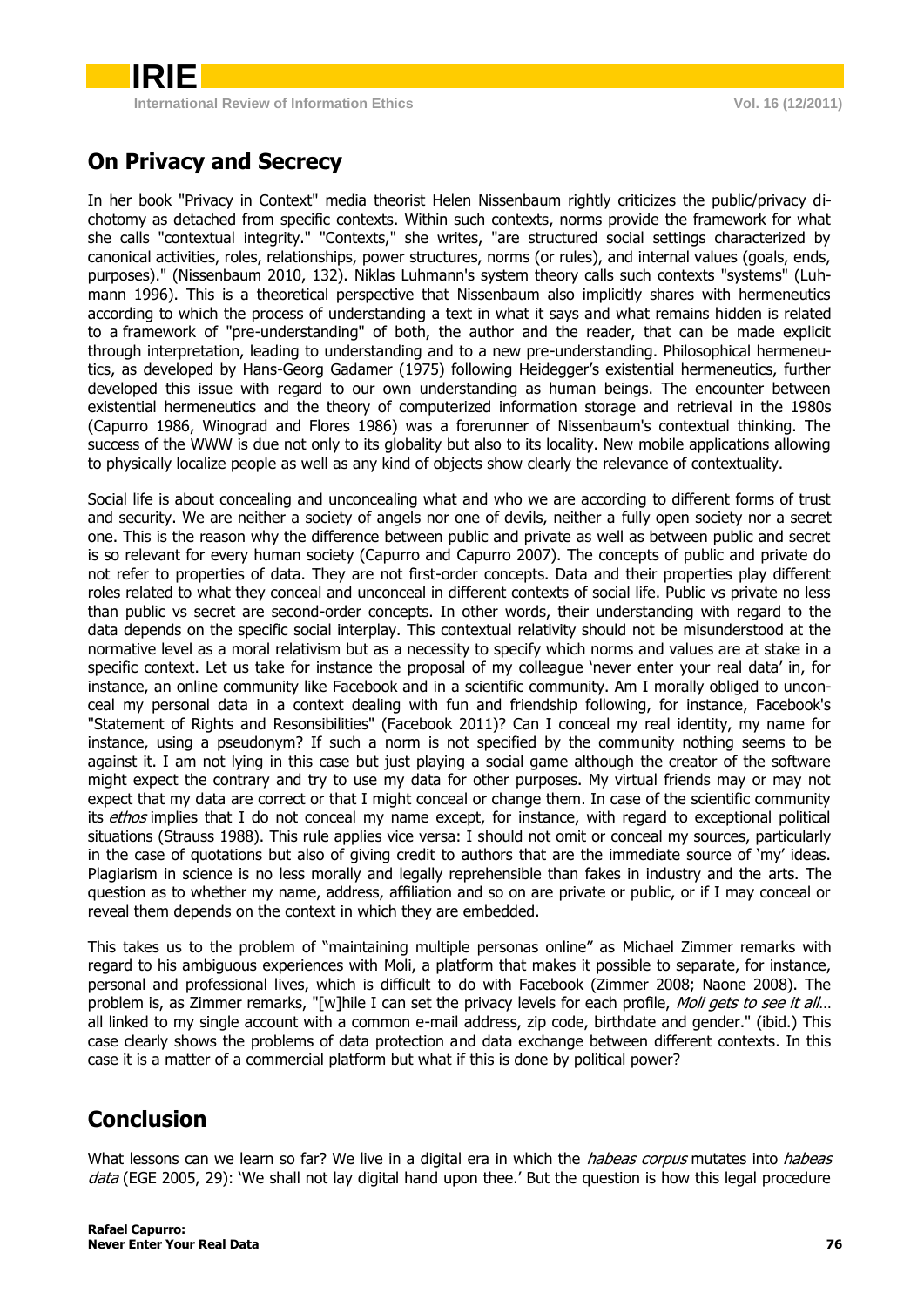# **IRIE International Review of Information Ethics Vol. 16 (12/2011)**

# <span id="page-2-0"></span>**On Privacy and Secrecy**

In her book "Privacy in Context" media theorist Helen Nissenbaum rightly criticizes the public/privacy dichotomy as detached from specific contexts. Within such contexts, norms provide the framework for what she calls "contextual integrity." "Contexts," she writes, "are structured social settings characterized by canonical activities, roles, relationships, power structures, norms (or rules), and internal values (goals, ends, purposes)." (Nissenbaum 2010, 132). Niklas Luhmann's system theory calls such contexts "systems" (Luhmann 1996). This is a theoretical perspective that Nissenbaum also implicitly shares with hermeneutics according to which the process of understanding a text in what it says and what remains hidden is related to a framework of "pre-understanding" of both, the author and the reader, that can be made explicit through interpretation, leading to understanding and to a new pre-understanding. Philosophical hermeneutics, as developed by Hans-Georg Gadamer (1975) following Heidegger's existential hermeneutics, further developed this issue with regard to our own understanding as human beings. The encounter between existential hermeneutics and the theory of computerized information storage and retrieval in the 1980s (Capurro 1986, Winograd and Flores 1986) was a forerunner of Nissenbaum's contextual thinking. The success of the WWW is due not only to its globality but also to its locality. New mobile applications allowing to physically localize people as well as any kind of objects show clearly the relevance of contextuality.

Social life is about concealing and unconcealing what and who we are according to different forms of trust and security. We are neither a society of angels nor one of devils, neither a fully open society nor a secret one. This is the reason why the difference between public and private as well as between public and secret is so relevant for every human society (Capurro and Capurro 2007). The concepts of public and private do not refer to properties of data. They are not first-order concepts. Data and their properties play different roles related to what they conceal and unconceal in different contexts of social life. Public vs private no less than public vs secret are second-order concepts. In other words, their understanding with regard to the data depends on the specific social interplay. This contextual relativity should not be misunderstood at the normative level as a moral relativism but as a necessity to specify which norms and values are at stake in a specific context. Let us take for instance the proposal of my colleague 'never enter your real data' in, for instance, an online community like Facebook and in a scientific community. Am I morally obliged to unconceal my personal data in a context dealing with fun and friendship following, for instance, Facebook's "Statement of Rights and Resonsibilities" (Facebook 2011)? Can I conceal my real identity, my name for instance, using a pseudonym? If such a norm is not specified by the community nothing seems to be against it. I am not lying in this case but just playing a social game although the creator of the software might expect the contrary and try to use my data for other purposes. My virtual friends may or may not expect that my data are correct or that I might conceal or change them. In case of the scientific community its ethos implies that I do not conceal my name except, for instance, with regard to exceptional political situations (Strauss 1988). This rule applies vice versa: I should not omit or conceal my sources, particularly in the case of quotations but also of giving credit to authors that are the immediate source of 'my' ideas. Plagiarism in science is no less morally and legally reprehensible than fakes in industry and the arts. The question as to whether my name, address, affiliation and so on are private or public, or if I may conceal or reveal them depends on the context in which they are embedded.

This takes us to the problem of "maintaining multiple personas online" as Michael Zimmer remarks with regard to his ambiguous experiences with Moli, a platform that makes it possible to separate, for instance, personal and professional lives, which is difficult to do with Facebook (Zimmer 2008; Naone 2008). The problem is, as Zimmer remarks, "[w]hile I can set the privacy levels for each profile, Moli gets to see it all... all linked to my single account with a common e-mail address, zip code, birthdate and gender." (ibid.) This case clearly shows the problems of data protection and data exchange between different contexts. In this case it is a matter of a commercial platform but what if this is done by political power?

# <span id="page-2-1"></span>**Conclusion**

What lessons can we learn so far? We live in a digital era in which the *habeas corpus* mutates into *habeas* data (EGE 2005, 29): 'We shall not lay digital hand upon thee.' But the question is how this legal procedure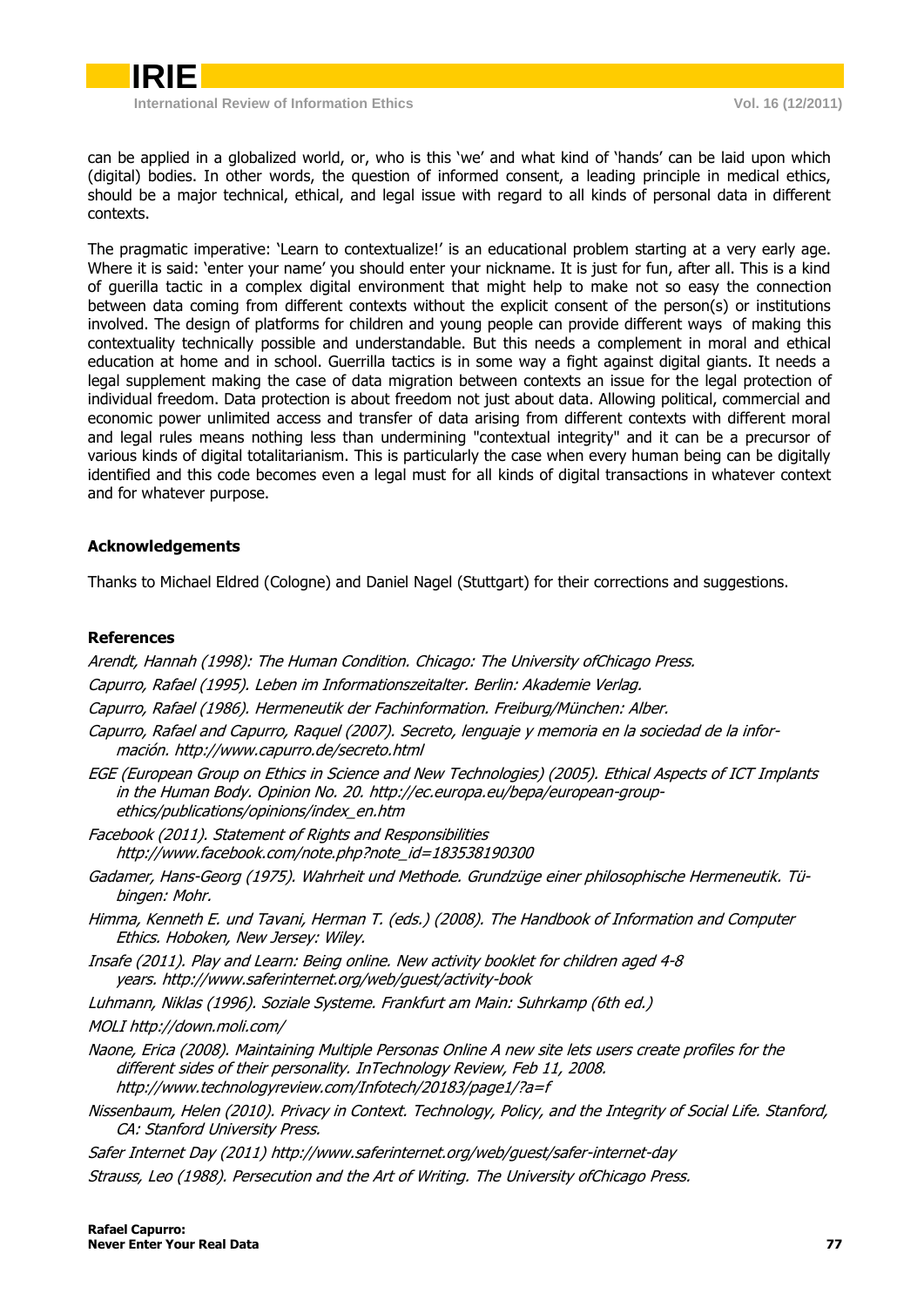

can be applied in a globalized world, or, who is this 'we' and what kind of 'hands' can be laid upon which (digital) bodies. In other words, the question of informed consent, a leading principle in medical ethics, should be a major technical, ethical, and legal issue with regard to all kinds of personal data in different contexts.

The pragmatic imperative: 'Learn to contextualize!' is an educational problem starting at a very early age. Where it is said: 'enter your name' you should enter your nickname. It is just for fun, after all. This is a kind of guerilla tactic in a complex digital environment that might help to make not so easy the connection between data coming from different contexts without the explicit consent of the person(s) or institutions involved. The design of platforms for children and young people can provide different ways of making this contextuality technically possible and understandable. But this needs a complement in moral and ethical education at home and in school. Guerrilla tactics is in some way a fight against digital giants. It needs a legal supplement making the case of data migration between contexts an issue for the legal protection of individual freedom. Data protection is about freedom not just about data. Allowing political, commercial and economic power unlimited access and transfer of data arising from different contexts with different moral and legal rules means nothing less than undermining "contextual integrity" and it can be a precursor of various kinds of digital totalitarianism. This is particularly the case when every human being can be digitally identified and this code becomes even a legal must for all kinds of digital transactions in whatever context and for whatever purpose.

#### **Acknowledgements**

Thanks to Michael Eldred (Cologne) and Daniel Nagel (Stuttgart) for their corrections and suggestions.

#### **References**

- Arendt, Hannah (1998): The Human Condition. Chicago: The University ofChicago Press.
- Capurro, Rafael (1995). [Leben im Informationszeitalter.](http://www.capurro.de/leben.html) Berlin: Akademie Verlag.
- Capurro, Rafael (1986). [Hermeneutik der Fachinformation.](http://www.capurro.de/hermeneu.html) Freiburg/München: Alber.
- Capurro, Rafael and Capurro, Raquel (2007). [Secreto, lenguaje y memoria en la sociedad de la infor](http://www.capurro.de/secreto.html)[mación.](http://www.capurro.de/secreto.html) <http://www.capurro.de/secreto.html>
- EGE (European Group on Ethics in Science and New Technologies) (2005). [Ethical Aspects of ICT Implants](http://ec.europa.eu/european_group_ethics/avis/index_en.htm)  [in the Human Body.](http://ec.europa.eu/european_group_ethics/avis/index_en.htm) Opinion No. 20. [http://ec.europa.eu/bepa/european-group](http://ec.europa.eu/bepa/european-group-ethics/publications/opinions/index_en.htm)[ethics/publications/opinions/index\\_en.htm](http://ec.europa.eu/bepa/european-group-ethics/publications/opinions/index_en.htm)
- Facebook (2011). [Statement of Rights and Responsibilities](http://www.facebook.com/terms.php?ref=pf) [http://www.facebook.com/note.php?note\\_id=183538190300](http://www.facebook.com/note.php?note_id=183538190300)
- Gadamer, Hans-Georg (1975). Wahrheit und Methode. Grundzüge einer philosophische Hermeneutik. Tübingen: Mohr.
- Himma, Kenneth E. und Tavani, Herman T. (eds.) (2008). The Handbook of Information and Computer Ethics. Hoboken, New Jersey: Wiley.
- Insafe (2011). Play and Learn: Being [online. New activity booklet for children aged 4-8](http://www.saferinternet.org/web/guest/activity-book)  [years.](http://www.saferinternet.org/web/guest/activity-book) <http://www.saferinternet.org/web/guest/activity-book>
- Luhmann, Niklas (1996). Soziale Systeme. Frankfurt am Main: Suhrkamp (6th ed.)
- [MOLI](http://www.moli.com/) <http://down.moli.com/>
- Naone, Erica (2008). Maintaining Multiple Personas Online A new site lets users create profiles for the different sides of their personality. I[nTechnology Review,](http://www.technologyreview.com/Infotech/20183/page1/?a=f) Feb 11, 2008. <http://www.technologyreview.com/Infotech/20183/page1/?a=f>
- Nissenbaum, Helen (2010). Privacy in Context. Technology, Policy, and the Integrity of Social Life. Stanford, CA: Stanford University Press.
- [Safer Internet Day](http://www.saferinternet.org/web/guest/safer-internet-day) (2011[\) http://www.saferinternet.org/web/guest/safer-internet-day](http://www.saferinternet.org/web/guest/safer-internet-day)
- Strauss, Leo (1988). Persecution and the Art of Writing. The University ofChicago Press.